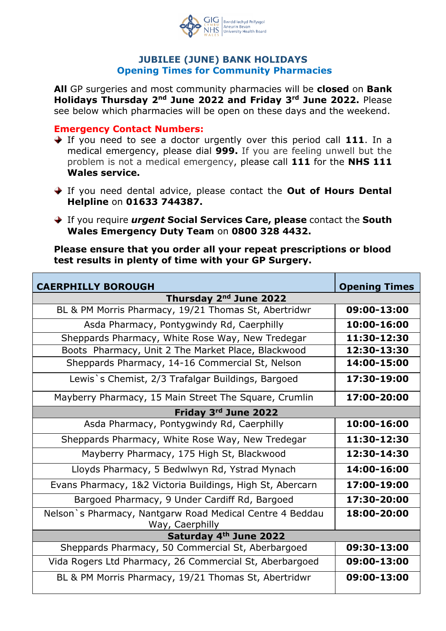

## **JUBILEE (JUNE) BANK HOLIDAYS Opening Times for Community Pharmacies**

**All** GP surgeries and most community pharmacies will be **closed** on **Bank Holidays Thursday 2nd June 2022 and Friday 3rd June 2022.** Please see below which pharmacies will be open on these days and the weekend.

## **Emergency Contact Numbers:**

- If you need to see a doctor urgently over this period call **111**. In a medical emergency, please dial **999.** If you are feeling unwell but the problem is not a medical emergency, please call **111** for the **NHS 111 Wales service.**
- If you need dental advice, please contact the **Out of Hours Dental Helpline** on **01633 744387.**
- If you require *urgent* **Social Services Care, please** contact the **South Wales Emergency Duty Team** on **0800 328 4432.**

**Please ensure that you order all your repeat prescriptions or blood test results in plenty of time with your GP Surgery.**

| <b>CAERPHILLY BOROUGH</b>                                                   | <b>Opening Times</b> |
|-----------------------------------------------------------------------------|----------------------|
| Thursday 2 <sup>nd</sup> June 2022                                          |                      |
| BL & PM Morris Pharmacy, 19/21 Thomas St, Abertridwr                        | 09:00-13:00          |
| Asda Pharmacy, Pontygwindy Rd, Caerphilly                                   | 10:00-16:00          |
| Sheppards Pharmacy, White Rose Way, New Tredegar                            | 11:30-12:30          |
| Boots Pharmacy, Unit 2 The Market Place, Blackwood                          | 12:30-13:30          |
| Sheppards Pharmacy, 14-16 Commercial St, Nelson                             | 14:00-15:00          |
| Lewis's Chemist, 2/3 Trafalgar Buildings, Bargoed                           | 17:30-19:00          |
| Mayberry Pharmacy, 15 Main Street The Square, Crumlin                       | 17:00-20:00          |
| Friday 3rd June 2022                                                        |                      |
| Asda Pharmacy, Pontygwindy Rd, Caerphilly                                   | 10:00-16:00          |
| Sheppards Pharmacy, White Rose Way, New Tredegar                            | 11:30-12:30          |
| Mayberry Pharmacy, 175 High St, Blackwood                                   | 12:30-14:30          |
| Lloyds Pharmacy, 5 Bedwlwyn Rd, Ystrad Mynach                               | 14:00-16:00          |
| Evans Pharmacy, 1&2 Victoria Buildings, High St, Abercarn                   | 17:00-19:00          |
| Bargoed Pharmacy, 9 Under Cardiff Rd, Bargoed                               | 17:30-20:00          |
| Nelson's Pharmacy, Nantgarw Road Medical Centre 4 Beddau<br>Way, Caerphilly | 18:00-20:00          |
| Saturday 4th June 2022                                                      |                      |
| Sheppards Pharmacy, 50 Commercial St, Aberbargoed                           | 09:30-13:00          |
| Vida Rogers Ltd Pharmacy, 26 Commercial St, Aberbargoed                     | 09:00-13:00          |
| BL & PM Morris Pharmacy, 19/21 Thomas St, Abertridwr                        | 09:00-13:00          |